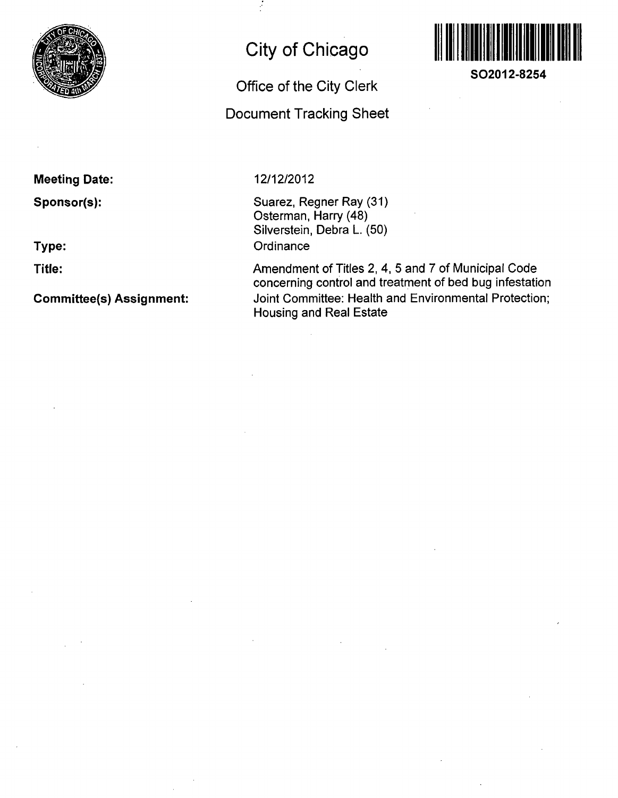

# **City of Chicago**

**Office of the City Clerk Docunnent Tracking Sheet** 



**SO2012-8254** 

# **Meeting Date:**

**Sponsor(s):** 

**Type:** 

**Title:** 

**Commlttee(s) Assignment:** 

# **12/12/2012**

Suarez, Regner Ray (31) Osterman, Harry (48) Silverstein, Debra L. (50) **Ordinance** 

Amendment of Titles 2, 4, 5 and 7 of Municipal Code concerning control and treatment of bed bug infestation Joint Committee: Health and Environmental Protection; Housing and Real Estate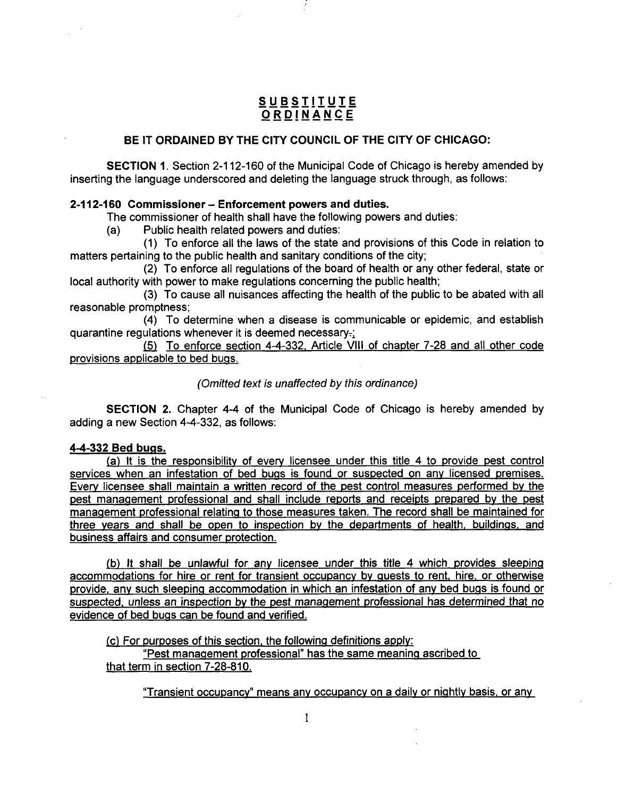# **S U BSTIIUT E ORDINANC E**

# **BE IT ORDAINED BY THE CITY COUNCIL OF THE CITY OF CHICAGO:**

SECTION 1. Section 2-112-160 of the Municipal Code of Chicago is hereby amended by inserting the language underscored and deleting the language struck through, as follows:

# **2-112-160 Commissioner - Enforcement powers and duties.**

The commissioner of health shall have the following powers and duties:

(a) Public health related powers and duties:

(1) To enforce all the laws of the state and provisions of this Code in relation to matters pertaining to the public health and sanitary conditions of the city;

(2) To enforce all regulations of the board of health or any other federal, state or local authority with power to make regulations concerning the public health;

(3) To cause all nuisances affecting the health of the public to be abated with all reasonable promptness;

(4) To determine when a disease is communicable or epidemic, and establish quarantine regulations whenever it is deemed necessary- $\frac{1}{2}$ 

(5) To enforce section 4-4-332. Article VIII of chapter 7-28 and all other code provisions applicable to bed bugs.

(Omitted text is unaffected by this ordinance)

SECTION 2. Chapter 4-4 of the Municipal Code of Chicago is hereby amended by adding a new Section 4-4-332, as follows:

## **4-4-332 Bed bugs.**

(a) It is the responsibility of every licensee under this title 4 to provide pest control services when an infestation of bed bugs is found or suspected on any licensed premises. Everv licensee shall maintain a written record of the pest control measures performed by the pest management professional and shall include reports and receipts prepared bv the pest management professional relating to those measures taken. The record shall be maintained for three vears and shall be open to inspection by the departments of health, buildings, and business affairs and consumer protection.

(b) It shall be unlawful for anv licensee under this title 4 which provides sleeping accommodations for hire or rent for transient occupancy by guests to rent, hire, or otherwise provide, anv such sleeping accommodation in which an infestation of anv bed bugs is found or suspected, unless an inspection by the pest management professional has determined that no evidence of bed bugs can be found and verified.

(c) For purposes of this section, the following definitions applv:

"Pest management professional" has the same meaning ascribed to that term in section 7-28-810.

"Transient occupancy" means anv occupancy on a daily or nightly basis, or any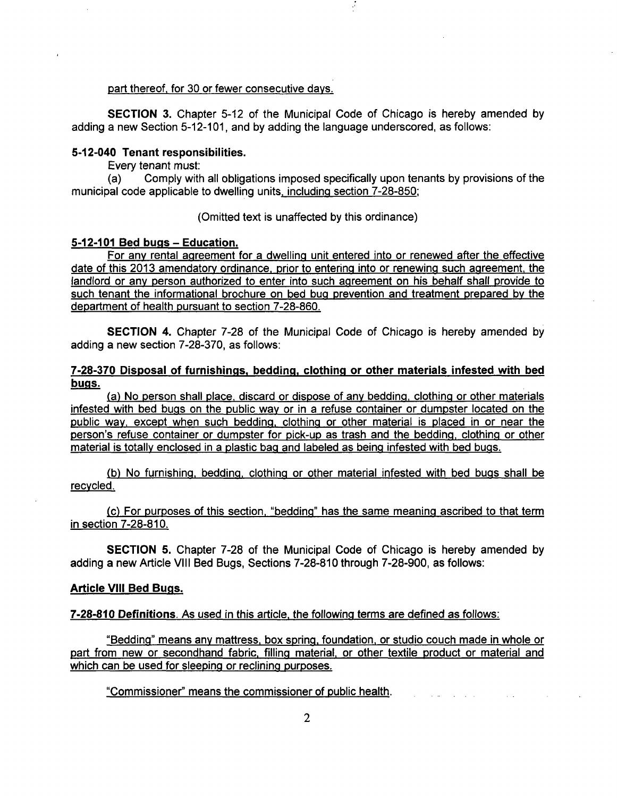#### part thereof, for 30 or fewer consecutive davs.

SECTION 3. Chapter 5-12 of the Municipal Code of Chicago is hereby amended by adding a new Section 5-12-101, and by adding the language underscored, as follows:

## **5-12-040 Tenant responsibilities.**

Every tenant must:

(a) Comply with all obligations imposed specifically upon tenants by provisions of the municipal code applicable to dwelling units, including section 7-28-850:

## (Omitted text is unaffected by this ordinance)

## **5-12-101 Bed bugs - Education.**

For anv rental agreement for a dwelling unit entered into or renewed after the effective date of this 2013 amendatory ordinance, prior to entering into or renewing such agreement, the landlord or any person authorized to enter into such agreement on his behalf shall provide to such tenant the informational brochure on bed bug prevention and treatment prepared by the department of health pursuant to section 7-28-860.

SECTION 4. Chapter 7-28 of the Municipal Code of Chicago is hereby amended by adding a new section 7-28-370, as follows:

# **7-28-370 Disposal of furnishings, bedding, clothing or other materials infested with bed bugs.**

(a) No person shall place, discard or dispose of any bedding, clothing or other materials infested with bed bugs on the public way or in a refuse container or dumpster located on the public way, except when such bedding, clothing or other material is placed in or near the person's refuse container or dumpster for pick-up as trash and the bedding, clothing or other material is totally enclosed in a plastic bag and labeled as being infested with bed bugs.

(b) No furnishing, bedding, clothing or other material infested with bed bugs shall be recycled.

(c) For purposes of this section, "bedding" has the same meaning ascribed to that term in section 7-28-810.

SECTION 5. Chapter 7-28 of the Municipal Code of Chicago is hereby amended by adding a new Article VIII Bed Bugs, Sections 7-28-810 through 7-28-900, as follows:

#### **Article VIII Bed Bugs.**

7-28-810 Definitions. As used in this article, the following terms are defined as follows:

"Bedding" means any mattress, box spring, foundation, or studio couch made in whole or part from new or secondhand fabric, filling material, or other textile product or material and which can be used for sleeping or reclining purposes.

"Commissioner" means the commissioner of public health.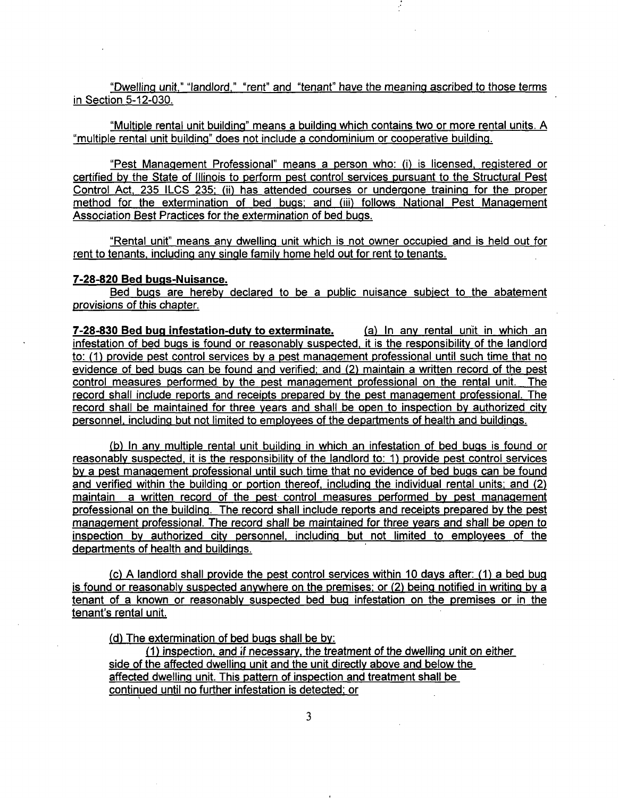"Dwelling unit," "landlord," "rent" and "tenant" have the meaning ascribed to those terms in Section 5-12-030.

"Multiple rental unit building" means a building which contains hwo or more rental units. A "multiple rental unit building" does not include a condominium or cooperative building.

"Pest Management Professional" means a person who: (i) is licensed, registered or certified bv the State of Illinois to perform pest control services pursuant to the Structural Pest Control Act. 235 ILCS 235: (ii) has attended courses or undergone training for the proper method for the extermination of bed bugs; and (iii) follows National Pest Management Association Best Practices for the extermination of bed bugs.

"Rental unit" means any dwelling unit which is not owner occupied and is held out for rent to tenants, including any single family home held out for rent to tenants.

## **7-28-820 Bed bugs-Nuisance.**

Bed bugs are hereby declared to be a public nuisance subiect to the abatement provisions of this chapter.

**7-28-830 Bed bug infestation-duty to exterminate.** (a) In any rental unit in which an infestation of bed bugs is found or reasonably suspected, it is the responsibility of the landlord to: (1) provide pest control services bv a pest management professional until such time that no evidence of bed bugs can be found and verified: and (2) maintain a written record of the pest control measures performed by the pest management professional on the rental unit. The record shall include reports and receipts prepared by the pest management professional. The record shall be maintained for three vears and shall be open to inspection by authorized city personnel, including but not limited to employees of the departments of health and buildings.

(b) In any multiple rental unit building in which an infestation of bed bugs is found or reasonably suspected, it is the responsibility of the landlord to: 1) provide pest control services by a pest management professional until such time that no evidence of bed bugs can be found and verified within the building or portion thereof, including the individual rental units; and (2) maintain a written record of the pest control measures performed by pest management professional on the building. The record shall include reports and receipts prepared by the pest management professional. The record shall be maintained for three vears and shall be open to inspection bv authorized citv personnel, including but not limited to employees of the departments of health and buildings.

(c) A landlord shall provide the pest control services within 10 days after: (1) a bed bug is found or reasonably suspected anywhere on the premises; or (2) being notified in writing by a tenant of a known or reasonably suspected bed bug infestation on the premises or in the tenant's rental unit.

(d) The extermination of bed bugs shall be by:

(1) inspection, and if necessary, the treatment ofthe dwelling unit on either side of the affected dwelling unit and the unit directly above and below the affected dwelling unit. This pattern of inspection and treatment shall be continued until no further infestation is detected; or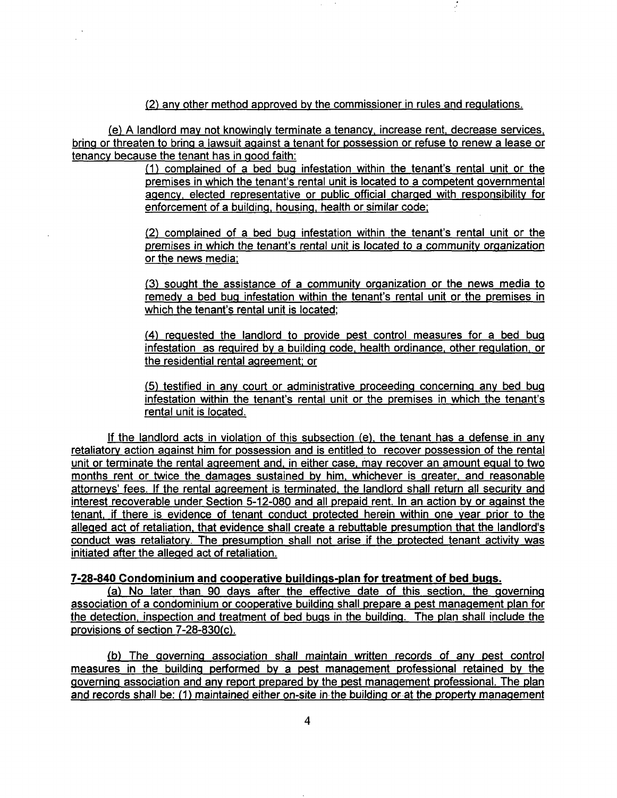(2) anv other method approved by the commissioner in rules and regulations.

(e) A landlord may not knowingly terminate a tenancy, increase rent, decrease services, bring or threaten to bring a lawsuit against a tenant for possession or refuse to renew a lease or tenancy because the tenant has in good faith:

> (1) complained of a bed bug infestation within the tenant's rental unit or the premises in which the tenant's rental unit is located to a competent governmental agency, elected representative or public official charged with responsibility for enforcement of a building, housing, health or similar code;

> (2) complained of a bed bug infestation within the tenant's rental unit or the premises in which the tenant's rental unit is located to a community organization or the news media:

> (3) sought the assistance of a community organization or the news media to remedy a bed bug infestation within the tenant's rental unit or the premises in which the tenant's rental unit is located;

> (4) reguested the landlord to provide pest control measures for a bed bug infestation as reguired bv a building code, health ordinance, other regulation, or the residential rental agreement: or

> (5) testified in any court or administrative proceeding concerning any bed bug infestation within the tenant's rental unit or the premises in which the tenant's rental unit is located.

If the landlord acts in violation of this subsection  $(e)$ , the tenant has a defense in any retaliatory action against him for possession and is entitled to recover possession of the rental unit or terminate the rental agreement and, in either case, mav recover an amount egual to two months rent or twice the damages sustained by him, whichever is greater, and reasonable attorneys' fees. If the rental agreement is terminated, the landlord shall return all security and interest recoverable under Section 5-12-080 and all prepaid rent. In an action by or against the tenant, if there is evidence of tenant conduct protected herein within one year prior to the alleged act of retaliation, that evidence shall create a rebuttable presumption that the landlord's conduct was retaliatory. The presumption shall not arise if the protected tenant activity was initiated after the alleged act of retaliation.

# **7-28-840 Condominium and cooperative buildings-plan for treatment of bed bugs.**

(a) No later than 90 days after the effective date of this section, the governing association of a condominium or cooperative building shall prepare a pest management plan for the detection, inspection and treatment of bed bugs in the building. The plan shall include the provisions of section 7-28-830(c).

(b) The governing association shall maintain written records of anv pest control measures in the building performed by a pest management professional retained by the governing association and any report prepared bv the pest management professional. The plan and records shall be: (1) maintained either on-site in the building or at the property management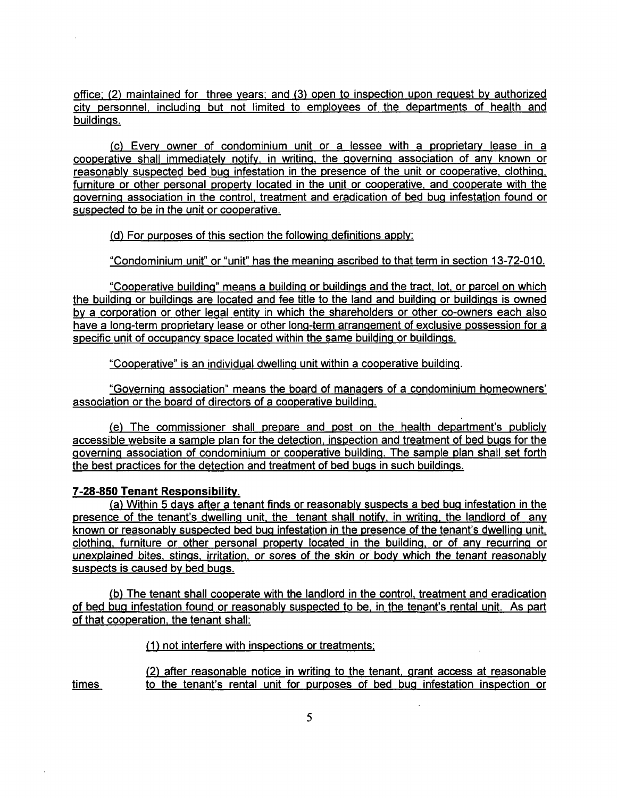office: (2) maintained for three years: and (3) open to inspection upon reguest by authorized city personnel, including but not limited to employees of the departments of health and buildings.

(c) Every owner of condominium unit or a lessee with a proprietary lease in a cooperative shall immediately notify, in writing, the governing association of any known or reasonably suspected bed bug infestation in the presence of the unit or cooperative, clothing, furniture or other personal property located in the unit or cooperative, and cooperate with the governing association in the control, treatment and eradication of bed bug infestation found or suspected to be in the unit or cooperative.

(d) For purposes of this section the following definitions apply:

"Condominium unit" or "unit" has the meaning ascribed to that term in section 13-72-010.

"Cooperative building" means a building or buildings and the tract, lot, or parcel on which the building or buildings are located and fee title to the land and building or buildings is owned bv a corporation or other legal entity in which the shareholders or other co-owners each also have a long-term proprietary lease or other long-term arrangement of exclusive possession for a specific unit of occupancy space located within the same building or buildings.

"Cooperative" is an individual dwelling unit within a cooperative building.

"Governing association" means the board of managers of a condominium homeowners' association or the board of directors of a cooperative building.

(e) The commissioner shall prepare and post on the health department's publicly accessible website a sample plan for the detection, inspection and treatment of bed bugs for the governing association of condominium or cooperative building. The sample plan shall set forth the best practices for the detection and treatment of bed bugs in such buildings.

# **7-28-850 Tenant Responsibilitv.**

(a) Within 5 davs after a tenant finds or reasonably suspects a bed bug infestation in the presence of the tenant's dwelling unit, the tenant shall notify, in writing, the landlord of any known or reasonably suspected bed bug infestation in the presence of the tenant's dwelling unit, clothing, furniture or other personal property located in the building, or of any recurring or unexplained bites, stings, irritation, or sores of the skin or body which the tenant reasonably suspects is caused by bed bugs.

(b) The tenant shall cooperate with the landlord in the control, treatment and eradication of bed bug infestation found or reasonably suspected to be. in the tenant's rental unit. As part of that cooperation, the tenant shall:

(1) not interfere with inspections or treatments:

(2) after reasonable notice in writing to the tenant, grant access at reasonable times to the tenant's rental unit for purposes of bed bug infestation inspection or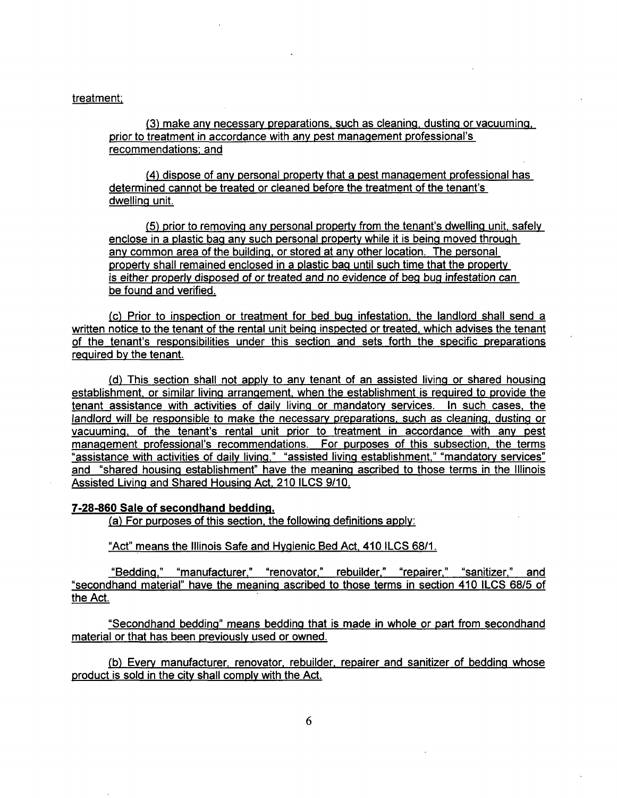## treatment:

(3) make any necessary preparations, such as cleaning, dusting or vacuuming, prior to treatment in accordance with anv pest management professional's recommendations: and

(4) dispose of any personal property that a pest management professional has determined cannot be treated or cleaned before the treatment of the tenant's dwelling unit.

(5) prior to removing anv personal property from the tenant's dwelling unit, safely enclose in a plastic bag any such personal property while it is being moved through any common area of the building, or stored at any other location. The personal property shall remained enclosed in a plastic bag until such time that the property is either properly disposed of or treated and no evidence of beg bug infestation can be found and verified.

(c) Prior to inspection or treatment for bed bug infestation, the landlord shall send a written notice to the tenant of the rental unit being inspected or treated, which advises the tenant of the tenant's responsibilities under this section and sets forth the specific preparations reguired by the tenant.

(d) This section shall not apply to any tenant of an assisted living or shared housing establishment, or similar living arrangement, when the establishment is reguired to provide the tenant assistance with activities of daily living or mandatory services. In such cases, the landlord will be responsible to make the necessary preparations, such as cleaning, dusting or vacuuming, of the tenant's rental unit prior to treatment in accordance with anv pest management professional's recommendations. For purposes of this subsection, the terms "assistance with activities of daily living," "assisted living establishment." "mandatory services" and "shared housing establishment" have the meaning ascribed to those terms in the Illinois Assisted Living and Shared Housing Act. 210 ILCS 9/10.

## **7-28-860 Sale of secondhand bedding.**

(a) For purposes of this section, the following definitions apply:

"Act" means the Illinois Safe and Hygienic Bed Act. 410 ILCS 68/1.

"Bedding." "manufacturer." "renovator." rebuilder." "repairer." "sanitizer." and "secondhand material" have the meaning ascribed to those terms in section 410 ILCS 68/5 of the Act.

"Secondhand bedding" means bedding that is made in whole or part from secondhand material or that has been previously used or owned.

(b) Every manufacturer, renovator, rebuilder. repairer and sanitizer of bedding whose product is sold in the citv shall comply with the Act.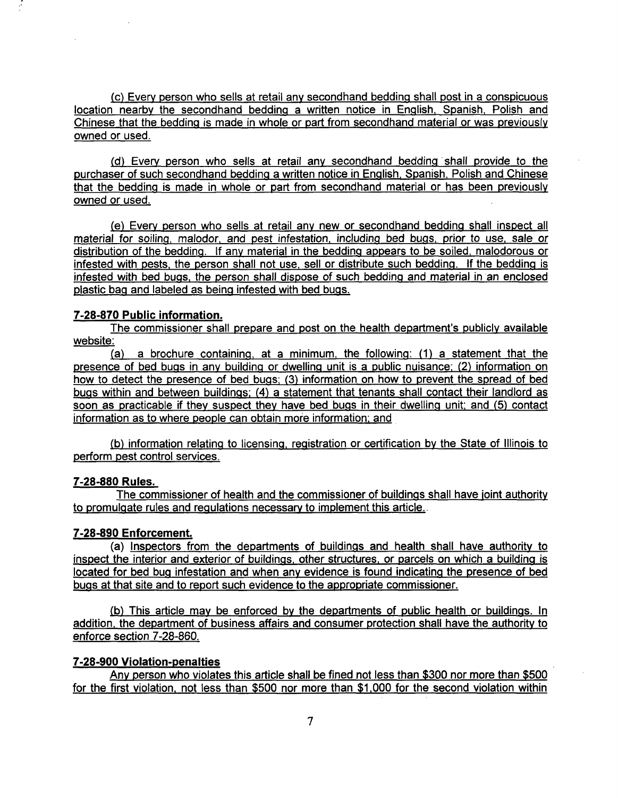(c) Every person who sells at retail any secondhand bedding shall post in a conspicuous location nearby the secondhand bedding a written notice in English. Spanish. Polish and Chinese that the bedding is made in whole or part from secondhand material or was previously owned or used.

(d) Everv person who sells at retail any secondhand bedding shall provide to the purchaser of such secondhand bedding a written notice in English, Spanish, Polish and Chinese that the bedding is made in whole or part from secondhand material or has been previously owned or used.

(e) Everv person who sells at retail any new or secondhand bedding shall inspect all material for soiling, malodor, and pest infestation, including bed bugs, prior to use, sale or distribution of the bedding. If any material in the bedding appears to be soiled, malodorous or infested with pests, the person shall not use, sell or distribute such bedding. If the bedding is infested with bed bugs, the person shall dispose of such bedding and material in an enclosed plastic bag and labeled as being infested with bed bugs.

# **7-28-870 Public information.**

The commissioner shall prepare and post on the health department's publicly available website:

(a) a brochure containing, at a minimum, the following: (1) a statement that the presence of bed bugs in anv building or dwelling unit is a public nuisance: (2) information on how to detect the presence of bed bugs; (3) information on how to prevent the spread of bed bugs within and between buildings: (4) a statement that tenants shall contact their landlord as soon as practicable if they suspect they have bed bugs in their dwelling unit; and (5) contact information as to where people can obtain more information; and

(b) information relating to licensing, registration or certification by the State of Illinois to perform pest control services.

# **7-28-880 Rules.**

The commissioner of health and the commissioner of buildings shall have joint authority to promulgate rules and regulations necessary to implement this article.

# **7-28-890 Enforcement.**

(a) Inspectors from the departments of buildings and health shall have authority to inspect the interior and exterior of buildings, other structures, or parcels on which a building is located for bed bug infestation and when any evidence is found indicating the presence of bed bugs at that site and to report such evidence to the appropriate commissioner.

(b) This article may be enforced by the departments of public health or buildings. In addition, the department of business affairs and consumer protection shall have the authority to enforce section 7-28-860.

# **7-28-900 Violation-penalties**

Anv person who violates this article shall be fined not less than \$300 nor more than \$500 for the first violation, not less than \$500 nor more than \$1.000 for the second violation within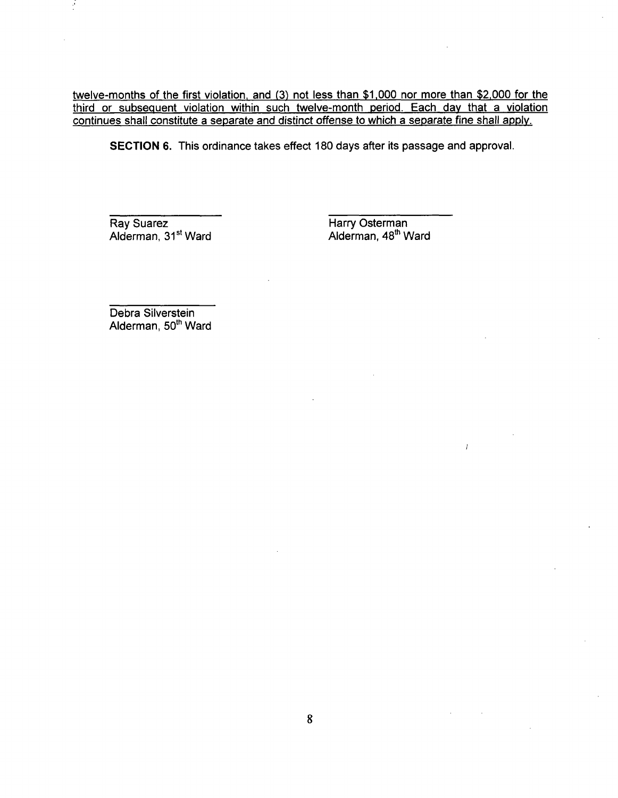twelve-months of the first violation, and (3) not less than \$1.000 nor more than \$2.000 for the third or subseguent violation within such twelve-month period. Each dav that a violation continues shall constitute a separate and distinct offense to which a separate fine shall applv.

SECTION 6. This ordinance takes effect 180 days after its passage and approval.

Ray Suarez **Harry Osterman**<br>Alderman, 31<sup>st</sup> Ward **Harry Osterman**, 48<sup>th</sup> Ward Alderman, 31<sup>st</sup> Ward

 $\bar{l}$ 

Debra Silverstein Alderman, 50<sup>th</sup> Ward